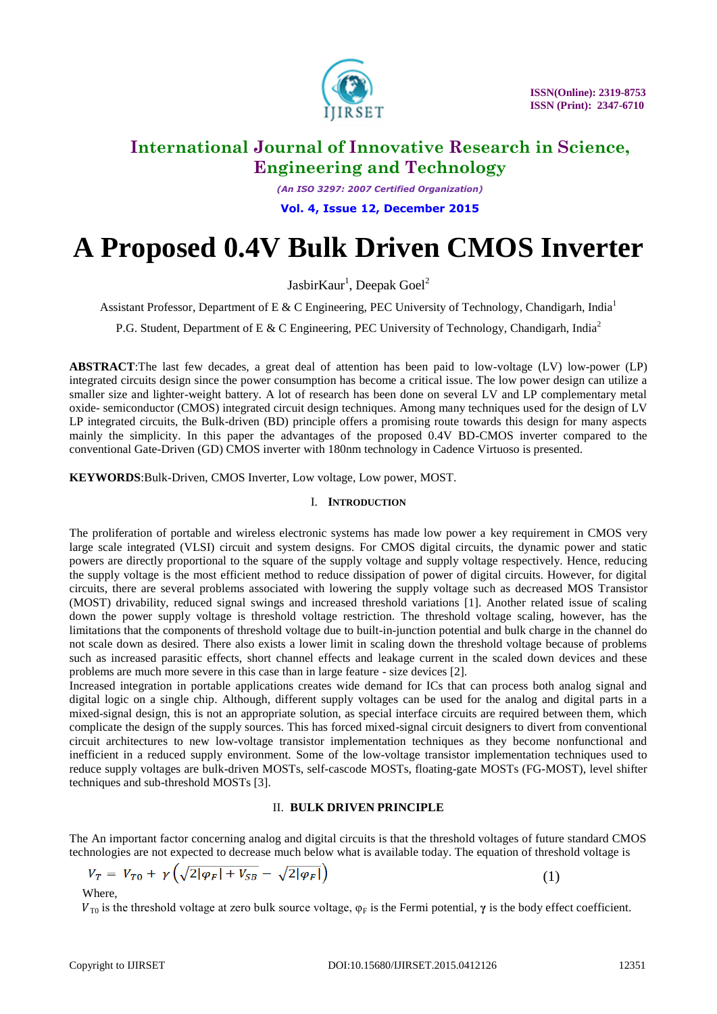

*(An ISO 3297: 2007 Certified Organization)*

**Vol. 4, Issue 12, December 2015**

# **A Proposed 0.4V Bulk Driven CMOS Inverter**

JasbirKaur<sup>1</sup>, Deepak Goel<sup>2</sup>

Assistant Professor, Department of E & C Engineering, PEC University of Technology, Chandigarh, India<sup>1</sup>

P.G. Student, Department of E & C Engineering, PEC University of Technology, Chandigarh, India<sup>2</sup>

**ABSTRACT**:The last few decades, a great deal of attention has been paid to low-voltage (LV) low-power (LP) integrated circuits design since the power consumption has become a critical issue. The low power design can utilize a smaller size and lighter-weight battery. A lot of research has been done on several LV and LP complementary metal oxide- semiconductor (CMOS) integrated circuit design techniques. Among many techniques used for the design of LV LP integrated circuits, the Bulk-driven (BD) principle offers a promising route towards this design for many aspects mainly the simplicity. In this paper the advantages of the proposed 0.4V BD-CMOS inverter compared to the conventional Gate-Driven (GD) CMOS inverter with 180nm technology in Cadence Virtuoso is presented.

**KEYWORDS**:Bulk-Driven, CMOS Inverter, Low voltage, Low power, MOST.

### I. **INTRODUCTION**

The proliferation of portable and wireless electronic systems has made low power a key requirement in CMOS very large scale integrated (VLSI) circuit and system designs. For CMOS digital circuits, the dynamic power and static powers are directly proportional to the square of the supply voltage and supply voltage respectively. Hence, reducing the supply voltage is the most efficient method to reduce dissipation of power of digital circuits. However, for digital circuits, there are several problems associated with lowering the supply voltage such as decreased MOS Transistor (MOST) drivability, reduced signal swings and increased threshold variations [1]. Another related issue of scaling down the power supply voltage is threshold voltage restriction. The threshold voltage scaling, however, has the limitations that the components of threshold voltage due to built-in-junction potential and bulk charge in the channel do not scale down as desired. There also exists a lower limit in scaling down the threshold voltage because of problems such as increased parasitic effects, short channel effects and leakage current in the scaled down devices and these problems are much more severe in this case than in large feature - size devices [2].

Increased integration in portable applications creates wide demand for ICs that can process both analog signal and digital logic on a single chip. Although, different supply voltages can be used for the analog and digital parts in a mixed-signal design, this is not an appropriate solution, as special interface circuits are required between them, which complicate the design of the supply sources. This has forced mixed-signal circuit designers to divert from conventional circuit architectures to new low-voltage transistor implementation techniques as they become nonfunctional and inefficient in a reduced supply environment. Some of the low-voltage transistor implementation techniques used to reduce supply voltages are bulk-driven MOSTs, self-cascode MOSTs, floating-gate MOSTs (FG-MOST), level shifter techniques and sub-threshold MOSTs [3].

### II. **BULK DRIVEN PRINCIPLE**

The An important factor concerning analog and digital circuits is that the threshold voltages of future standard CMOS technologies are not expected to decrease much below what is available today. The equation of threshold voltage is

$$
V_T = V_{T0} + \gamma \left( \sqrt{2|\varphi_F| + V_{SB}} - \sqrt{2|\varphi_F|} \right) \tag{1}
$$

Where,

 $V_{\text{T0}}$  is the threshold voltage at zero bulk source voltage,  $\varphi_F$  is the Fermi potential,  $\gamma$  is the body effect coefficient.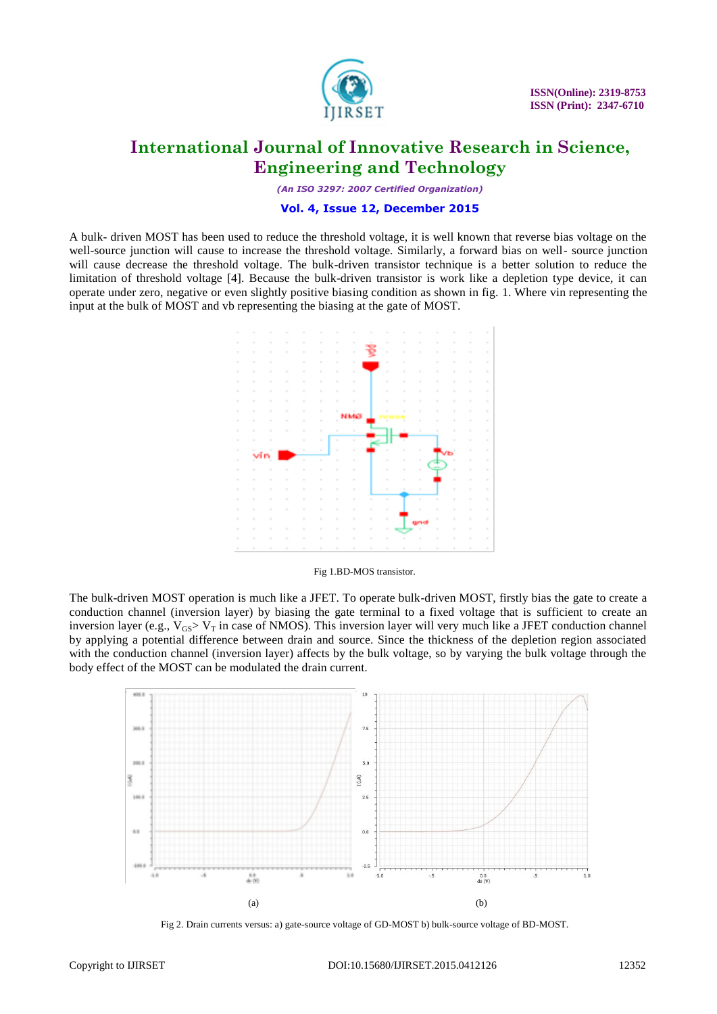

*(An ISO 3297: 2007 Certified Organization)*

#### **Vol. 4, Issue 12, December 2015**

A bulk- driven MOST has been used to reduce the threshold voltage, it is well known that reverse bias voltage on the well-source junction will cause to increase the threshold voltage. Similarly, a forward bias on well- source junction will cause decrease the threshold voltage. The bulk-driven transistor technique is a better solution to reduce the limitation of threshold voltage [4]. Because the bulk-driven transistor is work like a depletion type device, it can operate under zero, negative or even slightly positive biasing condition as shown in fig. 1. Where vin representing the input at the bulk of MOST and vb representing the biasing at the gate of MOST.



#### Fig 1.BD-MOS transistor.

The bulk-driven MOST operation is much like a JFET. To operate bulk-driven MOST, firstly bias the gate to create a conduction channel (inversion layer) by biasing the gate terminal to a fixed voltage that is sufficient to create an inversion layer (e.g.,  $V_{GS} > V_T$  in case of NMOS). This inversion layer will very much like a JFET conduction channel by applying a potential difference between drain and source. Since the thickness of the depletion region associated with the conduction channel (inversion layer) affects by the bulk voltage, so by varying the bulk voltage through the body effect of the MOST can be modulated the drain current.



Fig 2. Drain currents versus: a) gate-source voltage of GD-MOST b) bulk-source voltage of BD-MOST.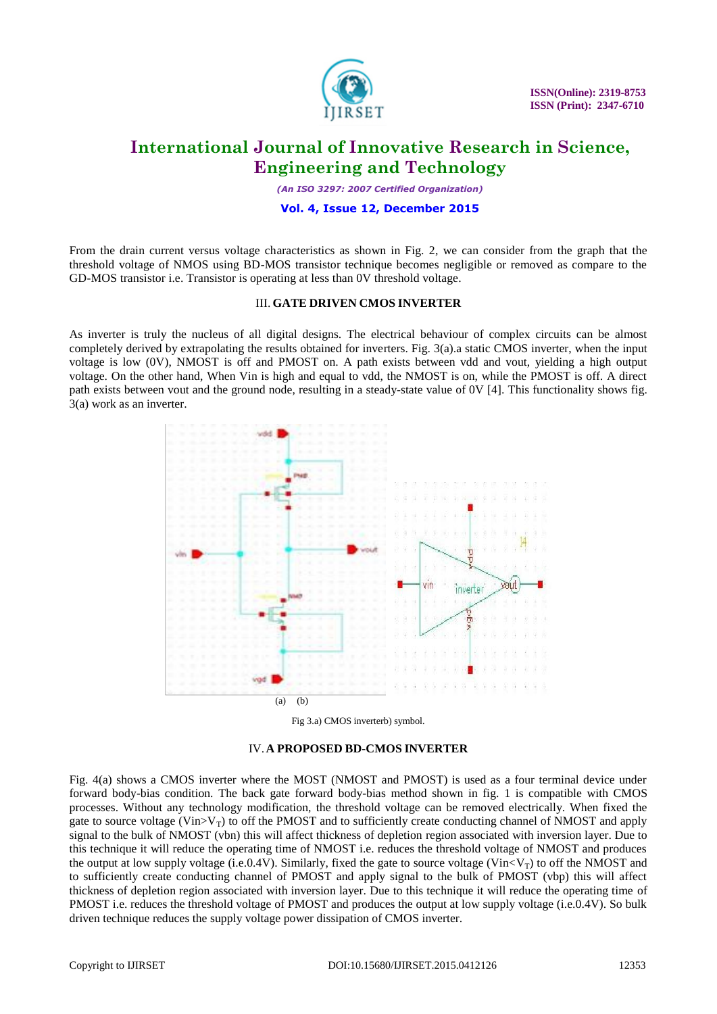

*(An ISO 3297: 2007 Certified Organization)*

#### **Vol. 4, Issue 12, December 2015**

From the drain current versus voltage characteristics as shown in Fig. 2, we can consider from the graph that the threshold voltage of NMOS using BD-MOS transistor technique becomes negligible or removed as compare to the GD-MOS transistor i.e. Transistor is operating at less than 0V threshold voltage.

#### III. **GATE DRIVEN CMOS INVERTER**

As inverter is truly the nucleus of all digital designs. The electrical behaviour of complex circuits can be almost completely derived by extrapolating the results obtained for inverters. Fig. 3(a).a static CMOS inverter, when the input voltage is low (0V), NMOST is off and PMOST on. A path exists between vdd and vout, yielding a high output voltage. On the other hand, When Vin is high and equal to vdd, the NMOST is on, while the PMOST is off. A direct path exists between vout and the ground node, resulting in a steady-state value of 0V [4]. This functionality shows fig. 3(a) work as an inverter.







Fig. 4(a) shows a CMOS inverter where the MOST (NMOST and PMOST) is used as a four terminal device under forward body-bias condition. The back gate forward body-bias method shown in fig. 1 is compatible with CMOS processes. Without any technology modification, the threshold voltage can be removed electrically. When fixed the gate to source voltage (Vin $>V_T$ ) to off the PMOST and to sufficiently create conducting channel of NMOST and apply signal to the bulk of NMOST (vbn) this will affect thickness of depletion region associated with inversion layer. Due to this technique it will reduce the operating time of NMOST i.e. reduces the threshold voltage of NMOST and produces the output at low supply voltage (i.e.0.4V). Similarly, fixed the gate to source voltage (Vin $\langle V_T \rangle$ ) to off the NMOST and to sufficiently create conducting channel of PMOST and apply signal to the bulk of PMOST (vbp) this will affect thickness of depletion region associated with inversion layer. Due to this technique it will reduce the operating time of PMOST i.e. reduces the threshold voltage of PMOST and produces the output at low supply voltage (i.e.0.4V). So bulk driven technique reduces the supply voltage power dissipation of CMOS inverter.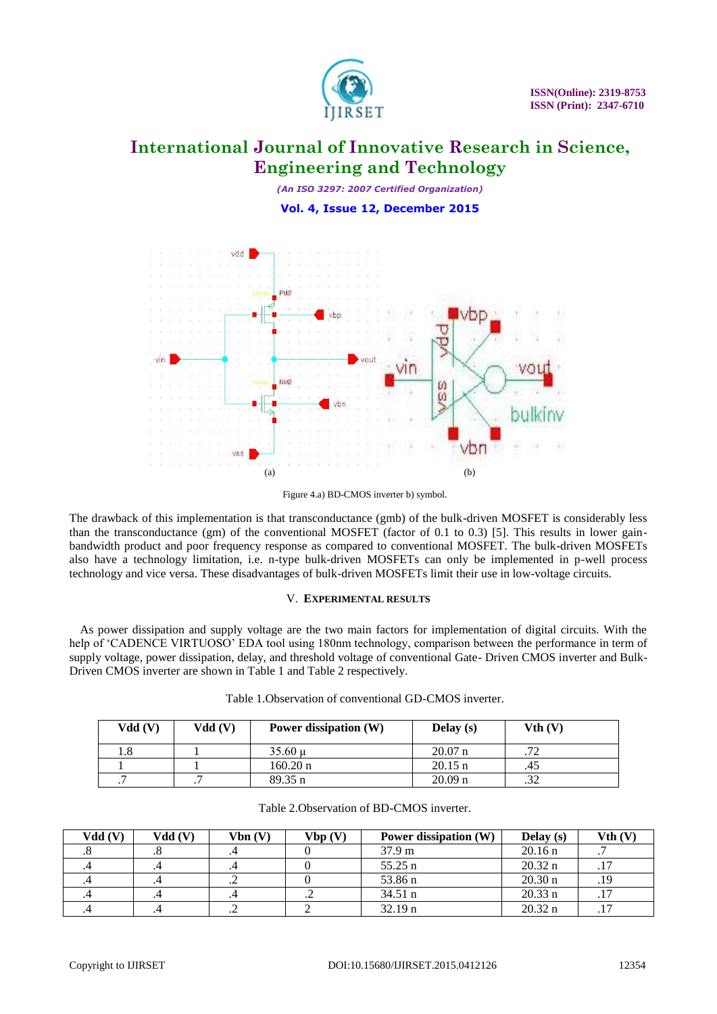

*(An ISO 3297: 2007 Certified Organization)* **Vol. 4, Issue 12, December 2015**



Figure 4.a) BD-CMOS inverter b) symbol.

The drawback of this implementation is that transconductance (gmb) of the bulk-driven MOSFET is considerably less than the transconductance (gm) of the conventional MOSFET (factor of 0.1 to 0.3) [5]. This results in lower gainbandwidth product and poor frequency response as compared to conventional MOSFET. The bulk-driven MOSFETs also have a technology limitation, i.e. n-type bulk-driven MOSFETs can only be implemented in p-well process technology and vice versa. These disadvantages of bulk-driven MOSFETs limit their use in low-voltage circuits.

### V. **EXPERIMENTAL RESULTS**

As power dissipation and supply voltage are the two main factors for implementation of digital circuits. With the help of 'CADENCE VIRTUOSO' EDA tool using 180nm technology, comparison between the performance in term of supply voltage, power dissipation, delay, and threshold voltage of conventional Gate- Driven CMOS inverter and Bulk-Driven CMOS inverter are shown in Table 1 and Table 2 respectively.

Table 1.Observation of conventional GD-CMOS inverter.

| Vdd(V)  | Vdd (V) | Power dissipation (W) | Delay (s)         | Vth (V) |
|---------|---------|-----------------------|-------------------|---------|
|         |         | $35.60 \text{ u}$     | $20.07$ n         | 72      |
|         |         | $160.20 \text{ n}$    | $20.15 \text{ n}$ | .45     |
| $\cdot$ |         | $89.35 \text{ n}$     | $20.09$ n         | .32     |

| Vdd (V) | Vdd(V) | Vbn(V) | Vbp(V)         | Power dissipation (W) | Delay $(s)$       | Vth (V |
|---------|--------|--------|----------------|-----------------------|-------------------|--------|
|         |        |        |                | 37.9 m                | $20.16 \text{ n}$ |        |
|         |        |        |                | $55.25 \text{ n}$     | $20.32 \text{ n}$ |        |
|         |        |        |                | 53.86 n               | $20.30 \text{ n}$ |        |
|         |        |        | $\cdot$ $\sim$ | $34.51 \text{ n}$     | $20.33 \text{ n}$ |        |
|         |        |        |                | $32.19 \text{ n}$     | $20.32 \text{ n}$ |        |

| Table 2. Observation of BD-CMOS inverter. |  |
|-------------------------------------------|--|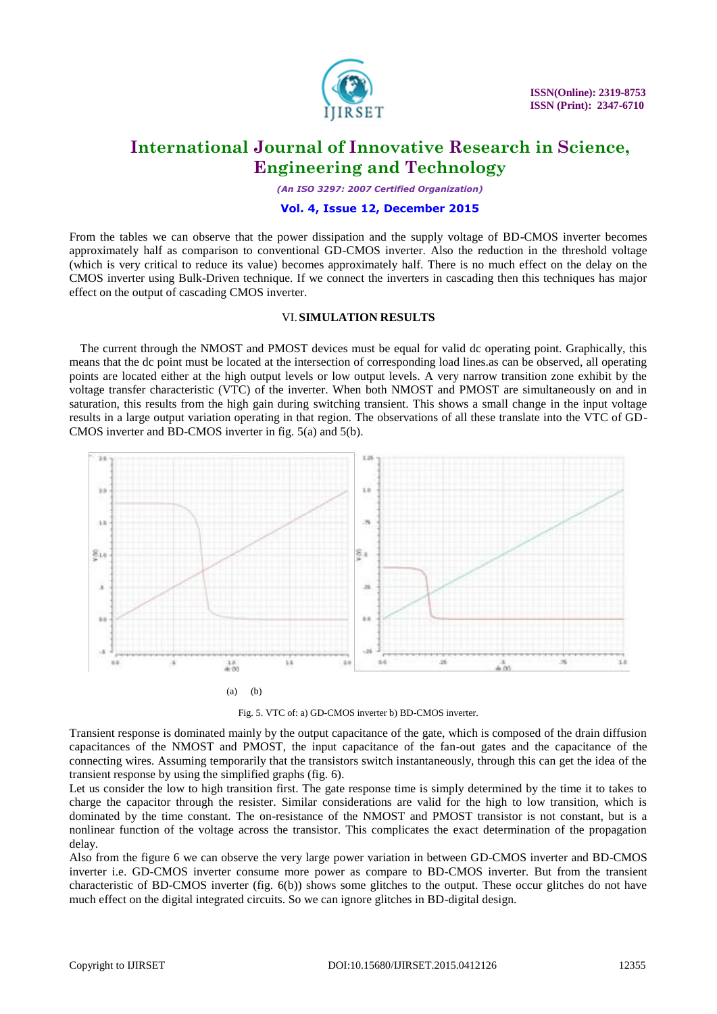

*(An ISO 3297: 2007 Certified Organization)*

### **Vol. 4, Issue 12, December 2015**

From the tables we can observe that the power dissipation and the supply voltage of BD-CMOS inverter becomes approximately half as comparison to conventional GD-CMOS inverter. Also the reduction in the threshold voltage (which is very critical to reduce its value) becomes approximately half. There is no much effect on the delay on the CMOS inverter using Bulk-Driven technique. If we connect the inverters in cascading then this techniques has major effect on the output of cascading CMOS inverter.

#### VI.**SIMULATION RESULTS**

The current through the NMOST and PMOST devices must be equal for valid dc operating point. Graphically, this means that the dc point must be located at the intersection of corresponding load lines.as can be observed, all operating points are located either at the high output levels or low output levels. A very narrow transition zone exhibit by the voltage transfer characteristic (VTC) of the inverter. When both NMOST and PMOST are simultaneously on and in saturation, this results from the high gain during switching transient. This shows a small change in the input voltage results in a large output variation operating in that region. The observations of all these translate into the VTC of GD-CMOS inverter and BD-CMOS inverter in fig. 5(a) and 5(b).



Fig. 5. VTC of: a) GD-CMOS inverter b) BD-CMOS inverter.

Transient response is dominated mainly by the output capacitance of the gate, which is composed of the drain diffusion capacitances of the NMOST and PMOST, the input capacitance of the fan-out gates and the capacitance of the connecting wires. Assuming temporarily that the transistors switch instantaneously, through this can get the idea of the transient response by using the simplified graphs (fig. 6).

Let us consider the low to high transition first. The gate response time is simply determined by the time it to takes to charge the capacitor through the resister. Similar considerations are valid for the high to low transition, which is dominated by the time constant. The on-resistance of the NMOST and PMOST transistor is not constant, but is a nonlinear function of the voltage across the transistor. This complicates the exact determination of the propagation delay.

Also from the figure 6 we can observe the very large power variation in between GD-CMOS inverter and BD-CMOS inverter i.e. GD-CMOS inverter consume more power as compare to BD-CMOS inverter. But from the transient characteristic of BD-CMOS inverter (fig. 6(b)) shows some glitches to the output. These occur glitches do not have much effect on the digital integrated circuits. So we can ignore glitches in BD-digital design.